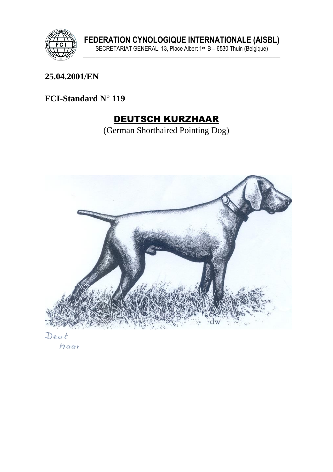

FEDERATION CYNOLOGIQUE INTERNATIONALE (AISBL)<br>SECRETARIAT GENERAL: 13, Place Albert 1<sup>er</sup> B – 6530 Thuin (Belgique)

#### 25.04.2001/EN

### FCI-Standard N° 119

# **DEUTSCH KURZHAAR**

(German Shorthaired Pointing Dog)



Deut haar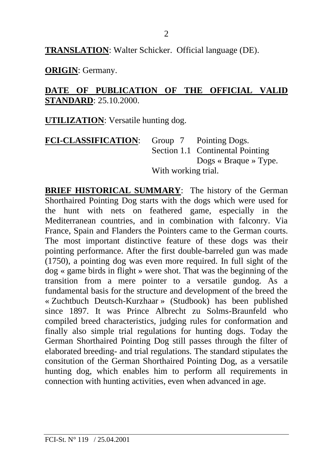**TRANSLATION**: Walter Schicker. Official language (DE).

**ORIGIN**: Germany.

#### **DATE OF PUBLICATION OF THE OFFICIAL VALID STANDARD**: 25.10.2000.

**UTILIZATION**: Versatile hunting dog.

| <b>FCI-CLASSIFICATION:</b> |                     | Group 7 Pointing Dogs.                            |
|----------------------------|---------------------|---------------------------------------------------|
|                            |                     | Section 1.1 Continental Pointing                  |
|                            |                     | Dogs $\triangleleft$ Braque $\triangleleft$ Type. |
|                            | With working trial. |                                                   |

**BRIEF HISTORICAL SUMMARY**: The history of the German Shorthaired Pointing Dog starts with the dogs which were used for the hunt with nets on feathered game, especially in the Mediterranean countries, and in combination with falconry. Via France, Spain and Flanders the Pointers came to the German courts. The most important distinctive feature of these dogs was their pointing performance. After the first double-barreled gun was made (1750), a pointing dog was even more required. In full sight of the dog « game birds in flight » were shot. That was the beginning of the transition from a mere pointer to a versatile gundog. As a fundamental basis for the structure and development of the breed the « Zuchtbuch Deutsch-Kurzhaar » (Studbook) has been published since 1897. It was Prince Albrecht zu Solms-Braunfeld who compiled breed characteristics, judging rules for conformation and finally also simple trial regulations for hunting dogs. Today the German Shorthaired Pointing Dog still passes through the filter of elaborated breeding- and trial regulations. The standard stipulates the consitution of the German Shorthaired Pointing Dog, as a versatile hunting dog, which enables him to perform all requirements in connection with hunting activities, even when advanced in age.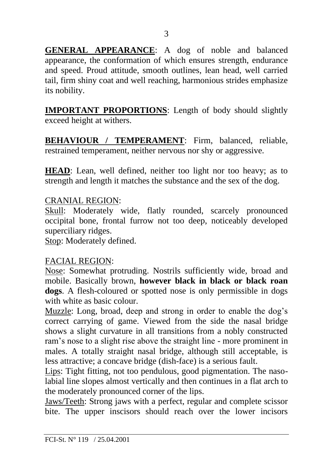**GENERAL APPEARANCE**: A dog of noble and balanced appearance, the conformation of which ensures strength, endurance and speed. Proud attitude, smooth outlines, lean head, well carried tail, firm shiny coat and well reaching, harmonious strides emphasize its nobility.

**IMPORTANT PROPORTIONS**: Length of body should slightly exceed height at withers.

**BEHAVIOUR / TEMPERAMENT**: Firm, balanced, reliable, restrained temperament, neither nervous nor shy or aggressive.

**HEAD**: Lean, well defined, neither too light nor too heavy; as to strength and length it matches the substance and the sex of the dog.

#### CRANIAL REGION:

Skull: Moderately wide, flatly rounded, scarcely pronounced occipital bone, frontal furrow not too deep, noticeably developed superciliary ridges.

Stop: Moderately defined.

#### FACIAL REGION:

Nose: Somewhat protruding. Nostrils sufficiently wide, broad and mobile. Basically brown, **however black in black or black roan dogs**. A flesh-coloured or spotted nose is only permissible in dogs with white as basic colour.

Muzzle: Long, broad, deep and strong in order to enable the dog's correct carrying of game. Viewed from the side the nasal bridge shows a slight curvature in all transitions from a nobly constructed ram's nose to a slight rise above the straight line - more prominent in males. A totally straight nasal bridge, although still acceptable, is less attractive; a concave bridge (dish-face) is a serious fault.

Lips: Tight fitting, not too pendulous, good pigmentation. The nasolabial line slopes almost vertically and then continues in a flat arch to the moderately pronounced corner of the lips.

Jaws/Teeth: Strong jaws with a perfect, regular and complete scissor bite. The upper inscisors should reach over the lower incisors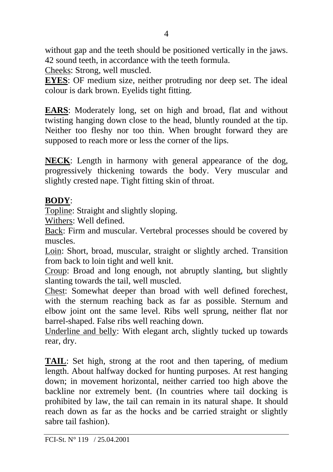without gap and the teeth should be positioned vertically in the jaws. 42 sound teeth, in accordance with the teeth formula.

Cheeks: Strong, well muscled.

**EYES**: OF medium size, neither protruding nor deep set. The ideal colour is dark brown. Eyelids tight fitting.

**EARS**: Moderately long, set on high and broad, flat and without twisting hanging down close to the head, bluntly rounded at the tip. Neither too fleshy nor too thin. When brought forward they are supposed to reach more or less the corner of the lips.

**NECK**: Length in harmony with general appearance of the dog, progressively thickening towards the body. Very muscular and slightly crested nape. Tight fitting skin of throat.

### **BODY**:

Topline: Straight and slightly sloping.

Withers: Well defined.

Back: Firm and muscular. Vertebral processes should be covered by muscles.

Loin: Short, broad, muscular, straight or slightly arched. Transition from back to loin tight and well knit.

Croup: Broad and long enough, not abruptly slanting, but slightly slanting towards the tail, well muscled.

Chest: Somewhat deeper than broad with well defined forechest, with the sternum reaching back as far as possible. Sternum and elbow joint ont the same level. Ribs well sprung, neither flat nor barrel-shaped. False ribs well reaching down.

Underline and belly: With elegant arch, slightly tucked up towards rear, dry.

**TAIL**: Set high, strong at the root and then tapering, of medium length. About halfway docked for hunting purposes. At rest hanging down; in movement horizontal, neither carried too high above the backline nor extremely bent. (In countries where tail docking is prohibited by law, the tail can remain in its natural shape. It should reach down as far as the hocks and be carried straight or slightly sabre tail fashion).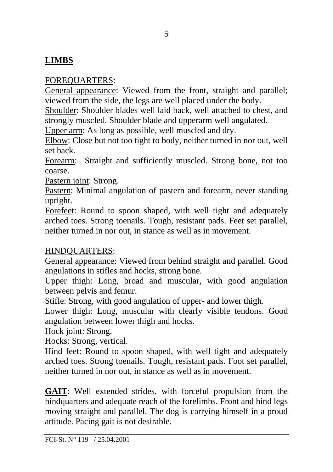### **LIMBS**

### FOREQUARTERS:

General appearance: Viewed from the front, straight and parallel; viewed from the side, the legs are well placed under the body.

Shoulder: Shoulder blades well laid back, well attached to chest, and strongly muscled. Shoulder blade and upperarm well angulated.

Upper arm: As long as possible, well muscled and dry.

Elbow: Close but not too tight to body, neither turned in nor out, well set back.

Forearm: Straight and sufficiently muscled. Strong bone, not too coarse.

Pastern joint: Strong.

Pastern: Minimal angulation of pastern and forearm, never standing upright.

Forefeet: Round to spoon shaped, with well tight and adequately arched toes. Strong toenails. Tough, resistant pads. Feet set parallel, neither turned in nor out, in stance as well as in movement.

### HINDQUARTERS:

General appearance: Viewed from behind straight and parallel. Good angulations in stifles and hocks, strong bone.

Upper thigh: Long, broad and muscular, with good angulation between pelvis and femur.

Stifle: Strong, with good angulation of upper- and lower thigh.

Lower thigh: Long, muscular with clearly visible tendons. Good angulation between lower thigh and hocks.

Hock joint: Strong.

Hocks: Strong, vertical.

Hind feet: Round to spoon shaped, with well tight and adequately arched toes. Strong toenails. Tough, resistant pads. Foot set parallel, neither turned in nor out, in stance as well as in movement.

**GAIT**: Well extended strides, with forceful propulsion from the hindquarters and adequate reach of the forelimbs. Front and hind legs moving straight and parallel. The dog is carrying himself in a proud attitude. Pacing gait is not desirable.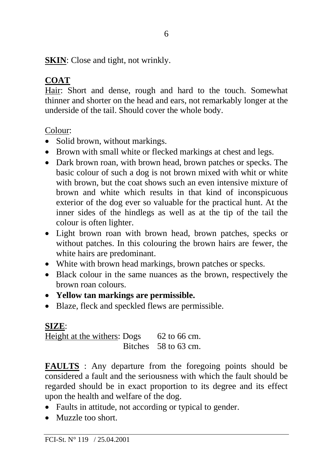**SKIN**: Close and tight, not wrinkly.

## **COAT**

Hair: Short and dense, rough and hard to the touch. Somewhat thinner and shorter on the head and ears, not remarkably longer at the underside of the tail. Should cover the whole body.

Colour:

- Solid brown, without markings.
- Brown with small white or flecked markings at chest and legs.
- Dark brown roan, with brown head, brown patches or specks. The basic colour of such a dog is not brown mixed with whit or white with brown, but the coat shows such an even intensive mixture of brown and white which results in that kind of inconspicuous exterior of the dog ever so valuable for the practical hunt. At the inner sides of the hindlegs as well as at the tip of the tail the colour is often lighter.
- Light brown roan with brown head, brown patches, specks or without patches. In this colouring the brown hairs are fewer, the white hairs are predominant.
- White with brown head markings, brown patches or specks.
- Black colour in the same nuances as the brown, respectively the brown roan colours.
- **Yellow tan markings are permissible.**
- Blaze, fleck and speckled flews are permissible.

## **SIZE**:

Height at the withers: Dogs 62 to 66 cm. Bitches 58 to 63 cm.

**FAULTS** : Any departure from the foregoing points should be considered a fault and the seriousness with which the fault should be regarded should be in exact proportion to its degree and its effect upon the health and welfare of the dog.

- Faults in attitude, not according or typical to gender.
- Muzzle too short.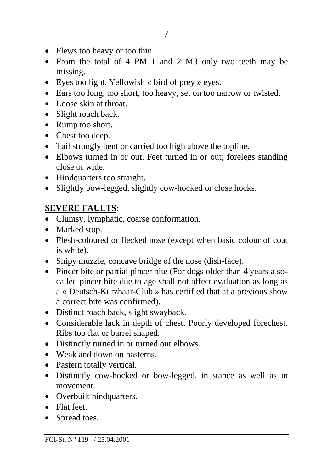- Flews too heavy or too thin.
- From the total of 4 PM 1 and 2 M3 only two teeth may be missing.
- Eyes too light. Yellowish « bird of prey » eyes.
- Ears too long, too short, too heavy, set on too narrow or twisted.
- Loose skin at throat.
- Slight roach back.
- Rump too short.
- Chest too deep.
- Tail strongly bent or carried too high above the topline.
- Elbows turned in or out. Feet turned in or out; forelegs standing close or wide.
- Hindquarters too straight.
- Slightly bow-legged, slightly cow-hocked or close hocks.

### **SEVERE FAULTS**:

- Clumsy, lymphatic, coarse conformation.
- Marked stop.
- Flesh-coloured or flecked nose (except when basic colour of coat is white).
- Snipy muzzle, concave bridge of the nose (dish-face).
- Pincer bite or partial pincer bite (For dogs older than 4 years a socalled pincer bite due to age shall not affect evaluation as long as a « Deutsch-Kurzhaar-Club » has certified that at a previous show a correct bite was confirmed).
- Distinct roach back, slight swayback.
- Considerable lack in depth of chest. Poorly developed forechest. Ribs too flat or barrel shaped.
- Distinctly turned in or turned out elbows.
- Weak and down on pasterns.
- Pastern totally vertical.
- Distinctly cow-hocked or bow-legged, in stance as well as in movement.
- Overbuilt hindquarters.
- Flat feet.
- Spread toes.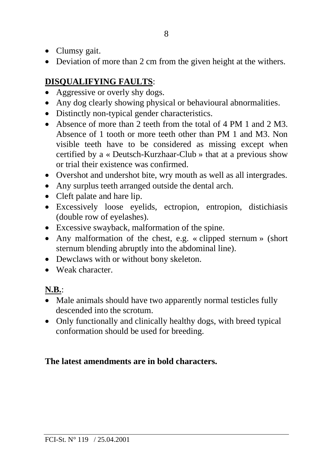- Clumsy gait.
- Deviation of more than 2 cm from the given height at the withers.

### **DISQUALIFYING FAULTS**:

- Aggressive or overly shy dogs.
- Any dog clearly showing physical or behavioural abnormalities.
- Distinctly non-typical gender characteristics.
- Absence of more than 2 teeth from the total of 4 PM 1 and 2 M3. Absence of 1 tooth or more teeth other than PM 1 and M3. Non visible teeth have to be considered as missing except when certified by a « Deutsch-Kurzhaar-Club » that at a previous show or trial their existence was confirmed.
- Overshot and undershot bite, wry mouth as well as all intergrades.
- Any surplus teeth arranged outside the dental arch.
- Cleft palate and hare lip.
- Excessively loose eyelids, ectropion, entropion, distichiasis (double row of eyelashes).
- Excessive swayback, malformation of the spine.
- Any malformation of the chest, e.g. « clipped sternum » (short sternum blending abruptly into the abdominal line).
- Dewclaws with or without bony skeleton.
- Weak character

## **N.B.**:

- Male animals should have two apparently normal testicles fully descended into the scrotum.
- Only functionally and clinically healthy dogs, with breed typical conformation should be used for breeding.

### **The latest amendments are in bold characters.**